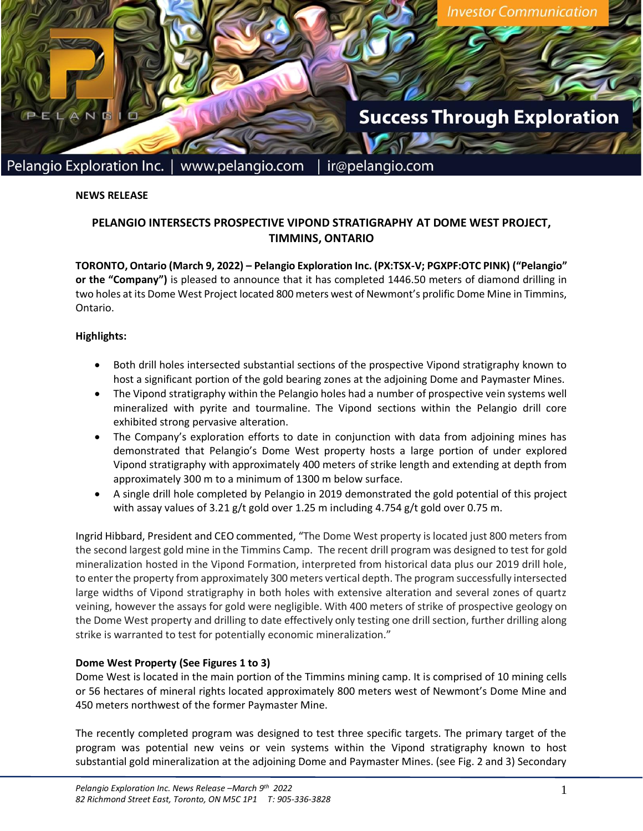

**NEWS RELEASE**

# **PELANGIO INTERSECTS PROSPECTIVE VIPOND STRATIGRAPHY AT DOME WEST PROJECT, TIMMINS, ONTARIO**

**TORONTO, Ontario (March 9, 2022) – Pelangio Exploration Inc. (PX:TSX-V; PGXPF:OTC PINK) ("Pelangio" or the "Company")** is pleased to announce that it has completed 1446.50 meters of diamond drilling in two holes at its Dome West Project located 800 meters west of Newmont's prolific Dome Mine in Timmins, Ontario.

### **Highlights:**

- Both drill holes intersected substantial sections of the prospective Vipond stratigraphy known to host a significant portion of the gold bearing zones at the adjoining Dome and Paymaster Mines.
- The Vipond stratigraphy within the Pelangio holes had a number of prospective vein systems well mineralized with pyrite and tourmaline. The Vipond sections within the Pelangio drill core exhibited strong pervasive alteration.
- The Company's exploration efforts to date in conjunction with data from adjoining mines has demonstrated that Pelangio's Dome West property hosts a large portion of under explored Vipond stratigraphy with approximately 400 meters of strike length and extending at depth from approximately 300 m to a minimum of 1300 m below surface.
- A single drill hole completed by Pelangio in 2019 demonstrated the gold potential of this project with assay values of 3.21 g/t gold over 1.25 m including 4.754 g/t gold over 0.75 m.

Ingrid Hibbard, President and CEO commented, "The Dome West property is located just 800 meters from the second largest gold mine in the Timmins Camp. The recent drill program was designed to test for gold mineralization hosted in the Vipond Formation, interpreted from historical data plus our 2019 drill hole, to enter the property from approximately 300 meters vertical depth. The program successfully intersected large widths of Vipond stratigraphy in both holes with extensive alteration and several zones of quartz veining, however the assays for gold were negligible. With 400 meters of strike of prospective geology on the Dome West property and drilling to date effectively only testing one drill section, further drilling along strike is warranted to test for potentially economic mineralization."

### **Dome West Property (See Figures 1 to 3)**

Dome West is located in the main portion of the Timmins mining camp. It is comprised of 10 mining cells or 56 hectares of mineral rights located approximately 800 meters west of Newmont's Dome Mine and 450 meters northwest of the former Paymaster Mine.

The recently completed program was designed to test three specific targets. The primary target of the program was potential new veins or vein systems within the Vipond stratigraphy known to host substantial gold mineralization at the adjoining Dome and Paymaster Mines. (see Fig. 2 and 3) Secondary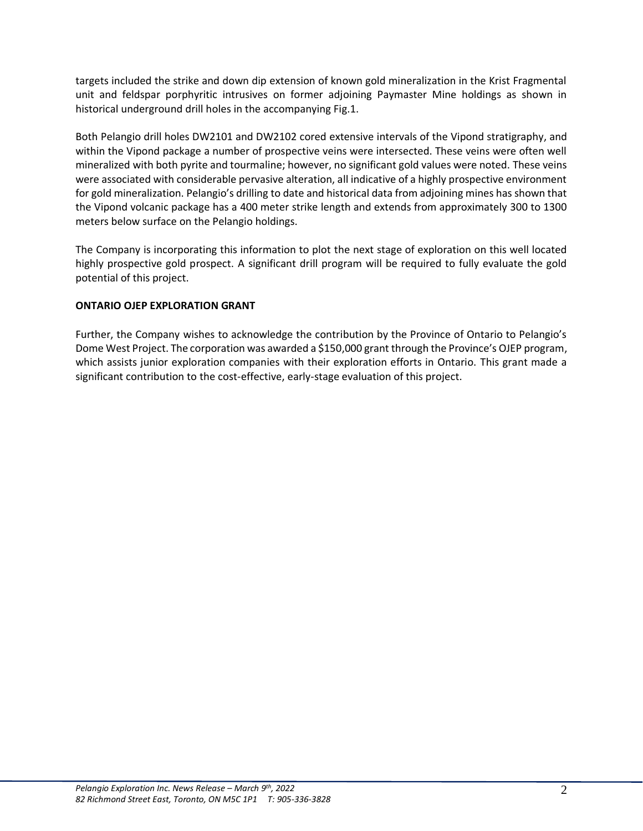targets included the strike and down dip extension of known gold mineralization in the Krist Fragmental unit and feldspar porphyritic intrusives on former adjoining Paymaster Mine holdings as shown in historical underground drill holes in the accompanying Fig.1.

Both Pelangio drill holes DW2101 and DW2102 cored extensive intervals of the Vipond stratigraphy, and within the Vipond package a number of prospective veins were intersected. These veins were often well mineralized with both pyrite and tourmaline; however, no significant gold values were noted. These veins were associated with considerable pervasive alteration, all indicative of a highly prospective environment for gold mineralization. Pelangio's drilling to date and historical data from adjoining mines has shown that the Vipond volcanic package has a 400 meter strike length and extends from approximately 300 to 1300 meters below surface on the Pelangio holdings.

The Company is incorporating this information to plot the next stage of exploration on this well located highly prospective gold prospect. A significant drill program will be required to fully evaluate the gold potential of this project.

## **ONTARIO OJEP EXPLORATION GRANT**

Further, the Company wishes to acknowledge the contribution by the Province of Ontario to Pelangio's Dome West Project. The corporation was awarded a \$150,000 grant through the Province's OJEP program, which assists junior exploration companies with their exploration efforts in Ontario. This grant made a significant contribution to the cost-effective, early-stage evaluation of this project.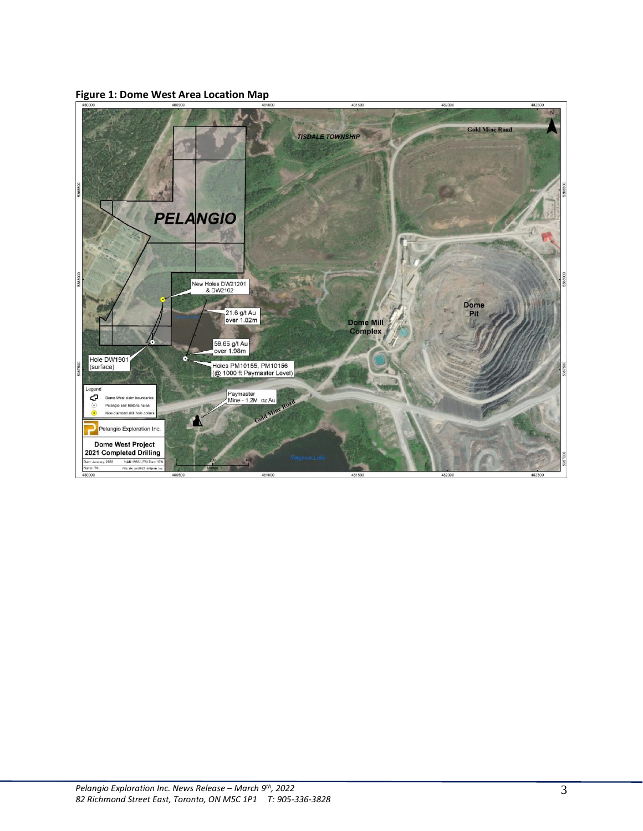

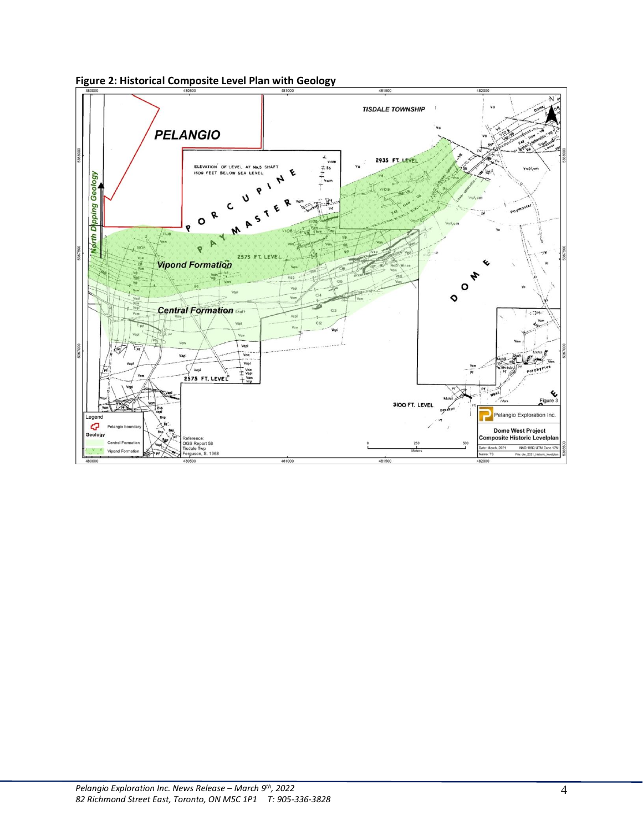

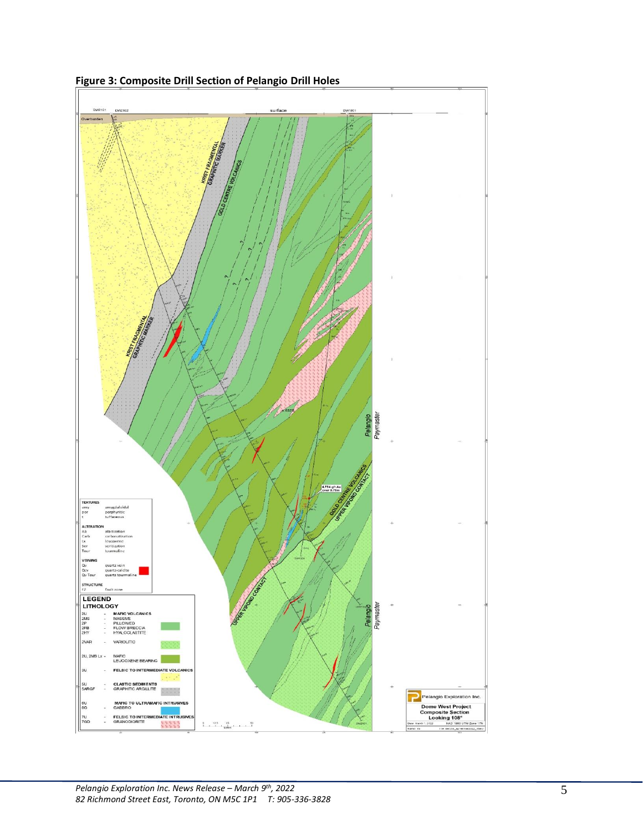

**Figure 3: Composite Drill Section of Pelangio Drill Holes**